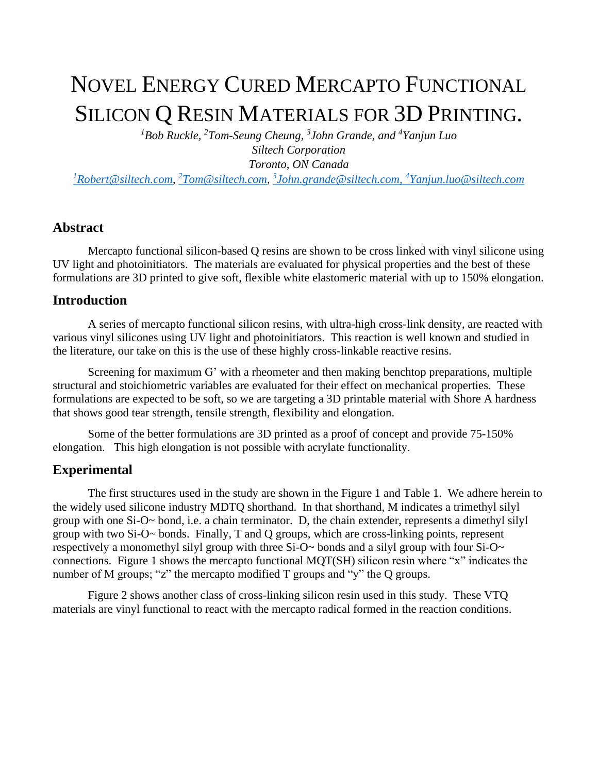# NOVEL ENERGY CURED MERCAPTO FUNCTIONAL SILICON Q RESIN MATERIALS FOR 3D PRINTING.

*<sup>1</sup>Bob Ruckle, <sup>2</sup>Tom-Seung Cheung, 3 John Grande, and <sup>4</sup>Yanjun Luo Siltech Corporation Toronto, ON Canada*

*<sup>1</sup>[Robert@siltech.com,](mailto:1Robert@siltech.com) <sup>2</sup>[Tom@siltech.com,](mailto:2Tom@siltech.com) 3 [John.grande@siltech.com,](mailto:3John.grande@siltech.com) <sup>4</sup>Yanjun.luo@siltech.com*

#### **Abstract**

Mercapto functional silicon-based Q resins are shown to be cross linked with vinyl silicone using UV light and photoinitiators. The materials are evaluated for physical properties and the best of these formulations are 3D printed to give soft, flexible white elastomeric material with up to 150% elongation.

#### **Introduction**

A series of mercapto functional silicon resins, with ultra-high cross-link density, are reacted with various vinyl silicones using UV light and photoinitiators. This reaction is well known and studied in the literature, our take on this is the use of these highly cross-linkable reactive resins.

Screening for maximum G' with a rheometer and then making benchtop preparations, multiple structural and stoichiometric variables are evaluated for their effect on mechanical properties. These formulations are expected to be soft, so we are targeting a 3D printable material with Shore A hardness that shows good tear strength, tensile strength, flexibility and elongation.

Some of the better formulations are 3D printed as a proof of concept and provide 75-150% elongation. This high elongation is not possible with acrylate functionality.

### **Experimental**

The first structures used in the study are shown in the Figure 1 and Table 1. We adhere herein to the widely used silicone industry MDTQ shorthand. In that shorthand, M indicates a trimethyl silyl group with one Si-O~ bond, i.e. a chain terminator. D, the chain extender, represents a dimethyl silyl group with two Si-O~ bonds. Finally, T and Q groups, which are cross-linking points, represent respectively a monomethyl silyl group with three Si-O~ bonds and a silyl group with four Si-O~ connections. Figure 1 shows the mercapto functional MQT(SH) silicon resin where "x" indicates the number of M groups; "z" the mercapto modified T groups and "y" the Q groups.

Figure 2 shows another class of cross-linking silicon resin used in this study. These VTQ materials are vinyl functional to react with the mercapto radical formed in the reaction conditions.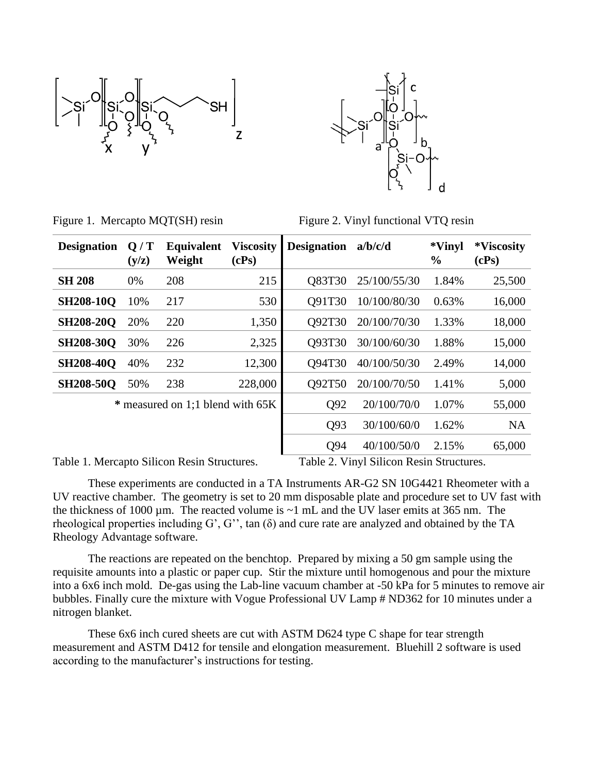



|  | Figure 1. Mercapto MQT(SH) resin |  |  |
|--|----------------------------------|--|--|
|  |                                  |  |  |

Figure 2. Vinyl functional VTQ resin

| <b>Designation</b> | Q/T<br>(y/z) | Equivalent<br>Weight             | <b>Viscosity</b><br>(cPs) | <b>Designation</b> | a/b/c/d      | *Vinyl<br>$\frac{0}{0}$ | *Viscosity<br>(cPs) |
|--------------------|--------------|----------------------------------|---------------------------|--------------------|--------------|-------------------------|---------------------|
| <b>SH 208</b>      | 0%           | 208                              | 215                       | O83T30             | 25/100/55/30 | 1.84%                   | 25,500              |
| <b>SH208-10Q</b>   | 10%          | 217                              | 530                       | O91T30             | 10/100/80/30 | 0.63%                   | 16,000              |
| <b>SH208-20Q</b>   | 20%          | 220                              | 1,350                     | O92T30             | 20/100/70/30 | 1.33%                   | 18,000              |
| <b>SH208-30Q</b>   | 30%          | 226                              | 2,325                     | Q93T30             | 30/100/60/30 | 1.88%                   | 15,000              |
| <b>SH208-40Q</b>   | 40%          | 232                              | 12,300                    | O94T30             | 40/100/50/30 | 2.49%                   | 14,000              |
| <b>SH208-50Q</b>   | 50%          | 238                              | 228,000                   | Q92T50             | 20/100/70/50 | 1.41%                   | 5,000               |
|                    |              | * measured on 1;1 blend with 65K |                           | Q92                | 20/100/70/0  | 1.07%                   | 55,000              |
|                    |              |                                  |                           | Q93                | 30/100/60/0  | 1.62%                   | <b>NA</b>           |
|                    |              |                                  |                           | Q94                | 40/100/50/0  | 2.15%                   | 65,000              |

Table 1. Mercapto Silicon Resin Structures. Table 2. Vinyl Silicon Resin Structures.

These experiments are conducted in a TA Instruments AR-G2 SN 10G4421 Rheometer with a UV reactive chamber. The geometry is set to 20 mm disposable plate and procedure set to UV fast with the thickness of 1000  $\mu$ m. The reacted volume is  $\sim$ 1 mL and the UV laser emits at 365 nm. The rheological properties including G', G'', tan (δ) and cure rate are analyzed and obtained by the TA Rheology Advantage software.

The reactions are repeated on the benchtop. Prepared by mixing a 50 gm sample using the requisite amounts into a plastic or paper cup. Stir the mixture until homogenous and pour the mixture into a 6x6 inch mold. De-gas using the Lab-line vacuum chamber at -50 kPa for 5 minutes to remove air bubbles. Finally cure the mixture with Vogue Professional UV Lamp # ND362 for 10 minutes under a nitrogen blanket.

These 6x6 inch cured sheets are cut with ASTM D624 type C shape for tear strength measurement and ASTM D412 for tensile and elongation measurement. Bluehill 2 software is used according to the manufacturer's instructions for testing.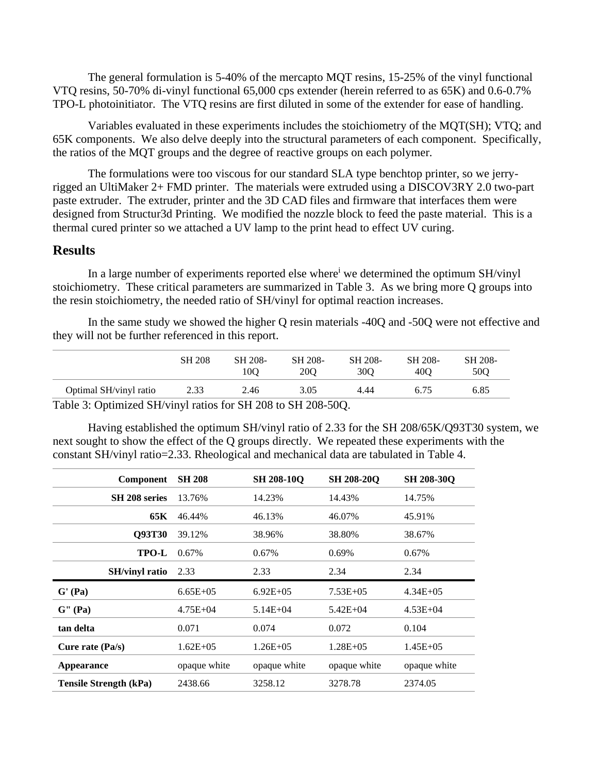The general formulation is 5-40% of the mercapto MQT resins, 15-25% of the vinyl functional VTQ resins, 50-70% di-vinyl functional 65,000 cps extender (herein referred to as 65K) and 0.6-0.7% TPO-L photoinitiator. The VTQ resins are first diluted in some of the extender for ease of handling.

Variables evaluated in these experiments includes the stoichiometry of the MQT(SH); VTQ; and 65K components. We also delve deeply into the structural parameters of each component. Specifically, the ratios of the MQT groups and the degree of reactive groups on each polymer.

The formulations were too viscous for our standard SLA type benchtop printer, so we jerryrigged an UltiMaker 2+ FMD printer. The materials were extruded using a DISCOV3RY 2.0 two-part paste extruder. The extruder, printer and the 3D CAD files and firmware that interfaces them were designed from Structur3d Printing. We modified the nozzle block to feed the paste material. This is a thermal cured printer so we attached a UV lamp to the print head to effect UV curing.

#### **Results**

In a large number of experiments reported else where<sup>i</sup> we determined the optimum SH/vinyl stoichiometry. These critical parameters are summarized in Table 3. As we bring more Q groups into the resin stoichiometry, the needed ratio of SH/vinyl for optimal reaction increases.

In the same study we showed the higher Q resin materials -40Q and -50Q were not effective and they will not be further referenced in this report.

|                        | <b>SH 208</b> | SH 208-<br>100 | SH 208-<br><b>200</b> | SH 208-<br>30 <sub>O</sub> | SH 208-<br>400 | SH 208-<br>50O |
|------------------------|---------------|----------------|-----------------------|----------------------------|----------------|----------------|
| Optimal SH/vinyl ratio | 2.33          | 2.46           | 3.05                  | 4.44                       | 6.75           | 6.85           |

Table 3: Optimized SH/vinyl ratios for SH 208 to SH 208-50Q.

Having established the optimum SH/vinyl ratio of 2.33 for the SH 208/65K/Q93T30 system, we next sought to show the effect of the Q groups directly. We repeated these experiments with the constant SH/vinyl ratio=2.33. Rheological and mechanical data are tabulated in Table 4.

| Component             | <b>SH 208</b> | <b>SH 208-100</b> | <b>SH 208-200</b> | <b>SH 208-300</b> |
|-----------------------|---------------|-------------------|-------------------|-------------------|
| SH 208 series         | 13.76%        | 14.23%            | 14.43%            | 14.75%            |
| 65K                   | 46.44%        | 46.13%            | 46.07%            | 45.91%            |
| <b>O93T30</b>         | 39.12%        | 38.96%            | 38.80%            | 38.67%            |
| TPO-L                 | $0.67\%$      | $0.67\%$          | $0.69\%$          | 0.67%             |
| <b>SH/vinyl ratio</b> | 2.33          | 2.33              | 2.34              | 2.34              |
| $\mathbf{G}'$ (Pa)    | $6.65E + 0.5$ | $6.92E + 0.5$     | $7.53E + 05$      | $4.34E + 0.5$     |
| G''(Pa)               | $4.75E + 04$  | $5.14E + 04$      | $5.42E + 04$      | $4.53E + 04$      |
| tan delta             | 0.071         | 0.074             | 0.072             | 0.104             |
| Cure rate $(Pa/s)$    |               |                   |                   |                   |
|                       | $1.62E + 05$  | $1.26E + 0.5$     | $1.28E + 0.5$     | $1.45E + 0.5$     |
| <b>Appearance</b>     | opaque white  | opaque white      | opaque white      | opaque white      |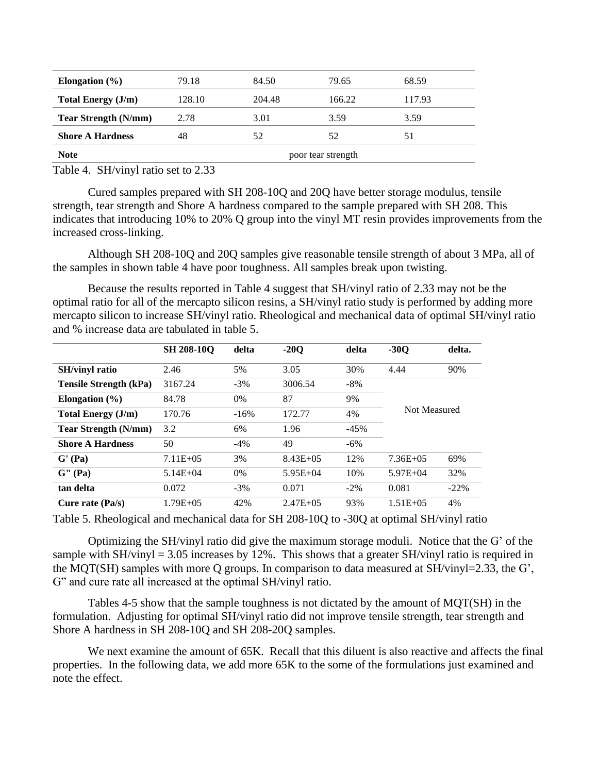| Elongation $(\% )$          | 79.18              | 84.50  | 79.65  | 68.59  |  |
|-----------------------------|--------------------|--------|--------|--------|--|
| Total Energy (J/m)          | 128.10             | 204.48 | 166.22 | 117.93 |  |
| <b>Tear Strength (N/mm)</b> | 2.78               | 3.01   | 3.59   | 3.59   |  |
| <b>Shore A Hardness</b>     | 48                 | 52     | 52     | 51     |  |
| <b>Note</b>                 | poor tear strength |        |        |        |  |

Table 4. SH/vinyl ratio set to 2.33

Cured samples prepared with SH 208-10Q and 20Q have better storage modulus, tensile strength, tear strength and Shore A hardness compared to the sample prepared with SH 208. This indicates that introducing 10% to 20% Q group into the vinyl MT resin provides improvements from the increased cross-linking.

Although SH 208-10Q and 20Q samples give reasonable tensile strength of about 3 MPa, all of the samples in shown table 4 have poor toughness. All samples break upon twisting.

Because the results reported in Table 4 suggest that SH/vinyl ratio of 2.33 may not be the optimal ratio for all of the mercapto silicon resins, a SH/vinyl ratio study is performed by adding more mercapto silicon to increase SH/vinyl ratio. Rheological and mechanical data of optimal SH/vinyl ratio and % increase data are tabulated in table 5.

|                               | <b>SH 208-10Q</b> | delta  | $-20O$        | delta  | $-30Q$        | delta.  |
|-------------------------------|-------------------|--------|---------------|--------|---------------|---------|
| <b>SH/vinyl ratio</b>         | 2.46              | 5%     | 3.05          | 30%    | 4.44          | 90%     |
| <b>Tensile Strength (kPa)</b> | 3167.24           | $-3%$  | 3006.54       | $-8%$  |               |         |
| Elongation $(\% )$            | 84.78             | 0%     | 87            | 9%     |               |         |
| <b>Total Energy (J/m)</b>     | 170.76            | $-16%$ | 172.77        | 4%     | Not Measured  |         |
| <b>Tear Strength (N/mm)</b>   | 3.2               | 6%     | 1.96          | $-45%$ |               |         |
| <b>Shore A Hardness</b>       | 50                | $-4\%$ | 49            | $-6\%$ |               |         |
| G' (Pa)                       | $7.11E + 0.5$     | 3%     | $8.43E + 0.5$ | 12%    | $7.36E + 0.5$ | 69%     |
| G'' (Pa)                      | $5.14E + 04$      | 0%     | $5.95E+04$    | 10%    | $5.97E + 04$  | 32%     |
| tan delta                     | 0.072             | $-3%$  | 0.071         | $-2\%$ | 0.081         | $-22\%$ |
| Cure rate $(Pa/s)$            | $1.79E + 0.5$     | 42%    | $2.47E + 0.5$ | 93%    | $1.51E + 0.5$ | 4%      |

Table 5. Rheological and mechanical data for SH 208-10Q to -30Q at optimal SH/vinyl ratio

Optimizing the SH/vinyl ratio did give the maximum storage moduli. Notice that the G' of the sample with  $SH/vinyl = 3.05$  increases by 12%. This shows that a greater  $SH/vinyl$  ratio is required in the MQT(SH) samples with more Q groups. In comparison to data measured at SH/vinyl=2.33, the G', G" and cure rate all increased at the optimal SH/vinyl ratio.

Tables 4-5 show that the sample toughness is not dictated by the amount of MQT(SH) in the formulation. Adjusting for optimal SH/vinyl ratio did not improve tensile strength, tear strength and Shore A hardness in SH 208-10Q and SH 208-20Q samples.

We next examine the amount of 65K. Recall that this diluent is also reactive and affects the final properties. In the following data, we add more 65K to the some of the formulations just examined and note the effect.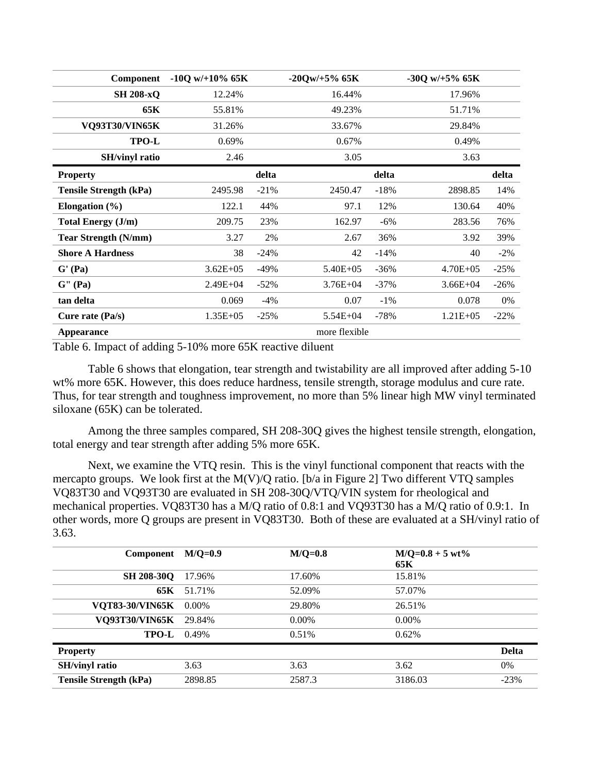| <b>Component</b>              | $-10Q$ w/ $+10\%$ 65K |        | $-200w/+5\%$ 65K |        | $-300$ w/ $+5\%$ 65K |         |
|-------------------------------|-----------------------|--------|------------------|--------|----------------------|---------|
| <b>SH 208-xQ</b>              | 12.24%                |        | 16.44%           |        | 17.96%               |         |
| 65K                           | 55.81%                |        | 49.23%           |        | 51.71%               |         |
| <b>VQ93T30/VIN65K</b>         | 31.26%                |        | 33.67%           |        | 29.84%               |         |
| <b>TPO-L</b>                  | 0.69%                 |        | 0.67%            |        | 0.49%                |         |
| <b>SH/vinyl ratio</b>         | 2.46                  |        | 3.05             |        | 3.63                 |         |
| <b>Property</b>               |                       | delta  |                  | delta  |                      | delta   |
| <b>Tensile Strength (kPa)</b> | 2495.98               | $-21%$ | 2450.47          | $-18%$ | 2898.85              | 14%     |
| Elongation $(\% )$            | 122.1                 | 44%    | 97.1             | 12%    | 130.64               | 40%     |
| <b>Total Energy (J/m)</b>     | 209.75                | 23%    | 162.97           | $-6\%$ | 283.56               | 76%     |
| <b>Tear Strength (N/mm)</b>   | 3.27                  | 2%     | 2.67             | 36%    | 3.92                 | 39%     |
| <b>Shore A Hardness</b>       | 38                    | $-24%$ | 42               | $-14%$ | 40                   | $-2\%$  |
| G' (Pa)                       | $3.62E + 05$          | $-49%$ | $5.40E + 05$     | $-36%$ | $4.70E + 05$         | $-25%$  |
| G''(Pa)                       | $2.49E + 04$          | $-52%$ | $3.76E + 04$     | $-37%$ | $3.66E + 04$         | $-26%$  |
| tan delta                     | 0.069                 | $-4\%$ | 0.07             | $-1\%$ | 0.078                | $0\%$   |
| Cure rate $(Pa/s)$            | $1.35E + 0.5$         | $-25%$ | $5.54E + 04$     | $-78%$ | $1.21E + 0.5$        | $-22\%$ |
| <b>Appearance</b>             |                       |        | more flexible    |        |                      |         |

Table 6. Impact of adding 5-10% more 65K reactive diluent

Table 6 shows that elongation, tear strength and twistability are all improved after adding 5-10 wt% more 65K. However, this does reduce hardness, tensile strength, storage modulus and cure rate. Thus, for tear strength and toughness improvement, no more than 5% linear high MW vinyl terminated siloxane (65K) can be tolerated.

Among the three samples compared, SH 208-30Q gives the highest tensile strength, elongation, total energy and tear strength after adding 5% more 65K.

Next, we examine the VTQ resin. This is the vinyl functional component that reacts with the mercapto groups. We look first at the M(V)/Q ratio. [b/a in Figure 2] Two different VTQ samples VQ83T30 and VQ93T30 are evaluated in SH 208-30Q/VTQ/VIN system for rheological and mechanical properties. VQ83T30 has a M/Q ratio of 0.8:1 and VQ93T30 has a M/Q ratio of 0.9:1. In other words, more Q groups are present in VQ83T30. Both of these are evaluated at a SH/vinyl ratio of 3.63.

| Component                     | $M/O=0.9$ | $M/O=0.8$ | $M/Q=0.8+5 wt\%$<br>65K |              |
|-------------------------------|-----------|-----------|-------------------------|--------------|
| <b>SH 208-30Q</b>             | 17.96%    | 17.60%    | 15.81%                  |              |
| 65K                           | 51.71%    | 52.09%    | 57.07%                  |              |
| <b>VOT83-30/VIN65K</b>        | $0.00\%$  | 29.80%    | 26.51%                  |              |
| <b>VO93T30/VIN65K</b>         | 29.84%    | $0.00\%$  | $0.00\%$                |              |
| <b>TPO-L</b>                  | 0.49%     | 0.51%     | 0.62%                   |              |
| <b>Property</b>               |           |           |                         | <b>Delta</b> |
| <b>SH/vinyl ratio</b>         | 3.63      | 3.63      | 3.62                    | $0\%$        |
| <b>Tensile Strength (kPa)</b> | 2898.85   | 2587.3    | 3186.03                 | $-23%$       |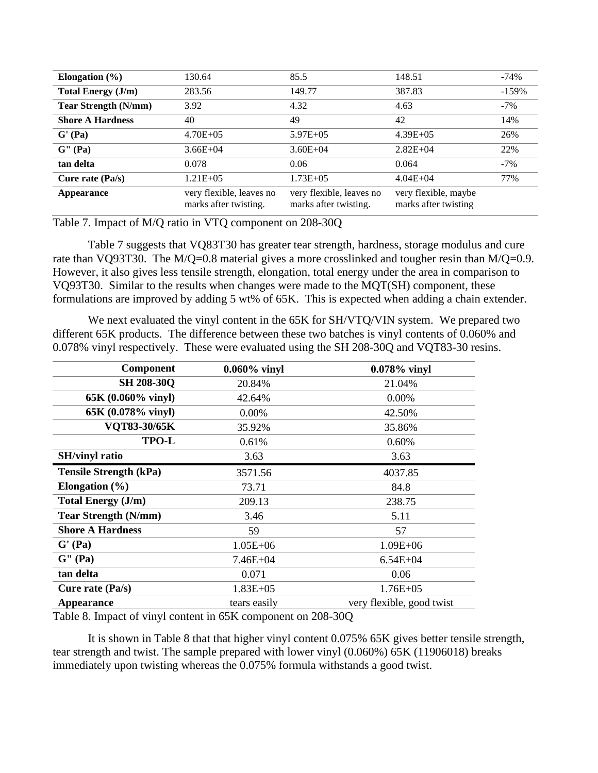| Elongation $(\% )$          | 130.64                                            | 85.5                                              | 148.51                                       | $-74%$  |
|-----------------------------|---------------------------------------------------|---------------------------------------------------|----------------------------------------------|---------|
| <b>Total Energy (J/m)</b>   | 283.56                                            | 149.77                                            | 387.83                                       | $-159%$ |
| <b>Tear Strength (N/mm)</b> | 3.92                                              | 4.32                                              | 4.63                                         | $-7\%$  |
| <b>Shore A Hardness</b>     | 40                                                | 49                                                | 42                                           | 14%     |
| G' (Pa)                     | $4.70E + 0.5$                                     | $5.97E + 0.5$                                     | $4.39E + 05$                                 | 26%     |
| G'' (Pa)                    | $3.66E + 04$                                      | $3.60E + 04$                                      | $2.82E + 04$                                 | 22%     |
| tan delta                   | 0.078                                             | 0.06                                              | 0.064                                        | $-7%$   |
| Cure rate (Pa/s)            | $1.21E + 0.5$                                     | $1.73E + 0.5$                                     | $4.04E + 04$                                 | 77%     |
| Appearance                  | very flexible, leaves no<br>marks after twisting. | very flexible, leaves no<br>marks after twisting. | very flexible, maybe<br>marks after twisting |         |

Table 7. Impact of M/Q ratio in VTQ component on 208-30Q

Table 7 suggests that VQ83T30 has greater tear strength, hardness, storage modulus and cure rate than VQ93T30. The M/Q=0.8 material gives a more crosslinked and tougher resin than M/Q=0.9. However, it also gives less tensile strength, elongation, total energy under the area in comparison to VQ93T30. Similar to the results when changes were made to the MQT(SH) component, these formulations are improved by adding 5 wt% of 65K. This is expected when adding a chain extender.

We next evaluated the vinyl content in the 65K for SH/VTQ/VIN system. We prepared two different 65K products. The difference between these two batches is vinyl contents of 0.060% and 0.078% vinyl respectively. These were evaluated using the SH 208-30Q and VQT83-30 resins.

| Component                                           | $0.060\%$ vinyl | 0.078% vinyl              |
|-----------------------------------------------------|-----------------|---------------------------|
| <b>SH 208-30Q</b>                                   | 20.84%          | 21.04%                    |
| 65K (0.060% vinyl)                                  | 42.64%          | 0.00%                     |
| 65K (0.078% vinyl)                                  | 0.00%           | 42.50%                    |
| VQT83-30/65K                                        | 35.92%          | 35.86%                    |
| TPO-L                                               | 0.61%           | 0.60%                     |
| <b>SH/vinyl ratio</b>                               | 3.63            | 3.63                      |
| <b>Tensile Strength (kPa)</b>                       | 3571.56         | 4037.85                   |
| Elongation $(\% )$                                  | 73.71           | 84.8                      |
| <b>Total Energy (J/m)</b>                           | 209.13          | 238.75                    |
| <b>Tear Strength (N/mm)</b>                         | 3.46            | 5.11                      |
| <b>Shore A Hardness</b>                             | 59              | 57                        |
| G' (Pa)                                             | $1.05E + 06$    | $1.09E + 06$              |
| $\mathbf{G}^{\prime\prime}\left(\mathbf{Pa}\right)$ | $7.46E + 04$    | $6.54E + 04$              |
| tan delta                                           | 0.071           | 0.06                      |
| Cure rate $(Pa/s)$                                  | $1.83E + 05$    | $1.76E + 05$              |
| <b>Appearance</b>                                   | tears easily    | very flexible, good twist |

Table 8. Impact of vinyl content in 65K component on 208-30Q

It is shown in Table 8 that that higher vinyl content 0.075% 65K gives better tensile strength, tear strength and twist. The sample prepared with lower vinyl (0.060%) 65K (11906018) breaks immediately upon twisting whereas the 0.075% formula withstands a good twist.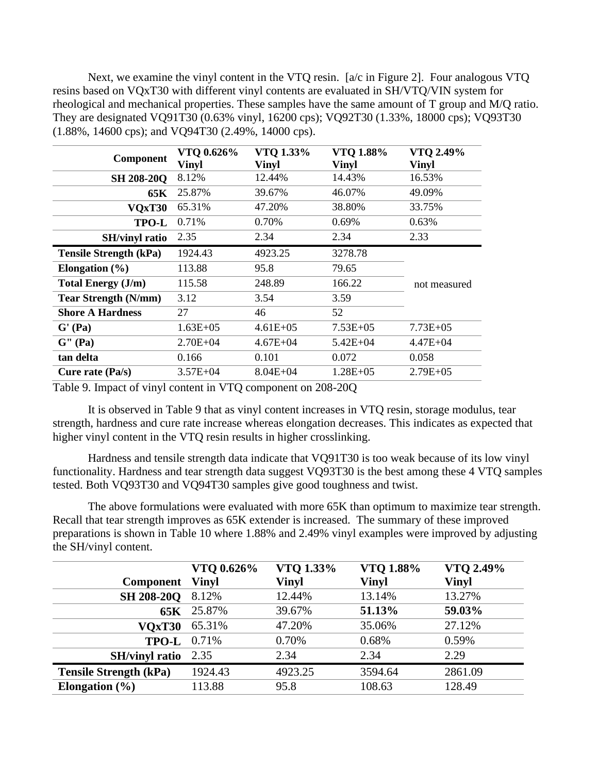Next, we examine the vinyl content in the VTQ resin. [a/c in Figure 2]. Four analogous VTQ resins based on VQxT30 with different vinyl contents are evaluated in SH/VTQ/VIN system for rheological and mechanical properties. These samples have the same amount of T group and M/Q ratio. They are designated VQ91T30 (0.63% vinyl, 16200 cps); VQ92T30 (1.33%, 18000 cps); VQ93T30 (1.88%, 14600 cps); and VQ94T30 (2.49%, 14000 cps).

| <b>Component</b>              | VTQ 0.626%<br>Vinyl | VTO 1.33%<br>Vinyl | VTO 1.88%<br>Vinyl | VTO 2.49%<br>Vinyl |
|-------------------------------|---------------------|--------------------|--------------------|--------------------|
| <b>SH 208-200</b>             | 8.12%               | 12.44%             | 14.43%             | 16.53%             |
| 65K                           | 25.87%              | 39.67%             | 46.07%             | 49.09%             |
| VQxT30                        | 65.31%              | 47.20%             | 38.80%             | 33.75%             |
| TPO-L                         | 0.71%               | 0.70%              | 0.69%              | 0.63%              |
| <b>SH/vinyl ratio</b>         | 2.35                | 2.34               | 2.34               | 2.33               |
| <b>Tensile Strength (kPa)</b> | 1924.43             | 4923.25            | 3278.78            |                    |
| Elongation $(\% )$            | 113.88              | 95.8               | 79.65              |                    |
| <b>Total Energy (J/m)</b>     | 115.58              | 248.89             | 166.22             | not measured       |
| <b>Tear Strength (N/mm)</b>   | 3.12                | 3.54               | 3.59               |                    |
| <b>Shore A Hardness</b>       | 27                  | 46                 | 52                 |                    |
| $\mathbf{G}'(\mathbf{Pa})$    | $1.63E + 05$        | $4.61E + 05$       | $7.53E + 05$       | $7.73E + 05$       |
| G'' (Pa)                      | $2.70E + 04$        | $4.67E + 04$       | $5.42E + 04$       | $4.47E + 04$       |
| tan delta                     | 0.166               | 0.101              | 0.072              | 0.058              |
| Cure rate $(Pa/s)$            | $3.57E + 04$        | $8.04E + 04$       | $1.28E + 05$       | $2.79E + 05$       |

Table 9. Impact of vinyl content in VTQ component on 208-20Q

It is observed in Table 9 that as vinyl content increases in VTQ resin, storage modulus, tear strength, hardness and cure rate increase whereas elongation decreases. This indicates as expected that higher vinyl content in the VTQ resin results in higher crosslinking.

Hardness and tensile strength data indicate that VQ91T30 is too weak because of its low vinyl functionality. Hardness and tear strength data suggest VQ93T30 is the best among these 4 VTQ samples tested. Both VQ93T30 and VQ94T30 samples give good toughness and twist.

The above formulations were evaluated with more 65K than optimum to maximize tear strength. Recall that tear strength improves as 65K extender is increased. The summary of these improved preparations is shown in Table 10 where 1.88% and 2.49% vinyl examples were improved by adjusting the SH/vinyl content.

|                               | VTQ 0.626%   | VTQ 1.33%    | VTQ 1.88%    | VTQ 2.49%    |
|-------------------------------|--------------|--------------|--------------|--------------|
| Component                     | <b>Vinyl</b> | <b>Vinyl</b> | <b>Vinyl</b> | <b>Vinyl</b> |
| <b>SH 208-200</b>             | 8.12%        | 12.44%       | 13.14%       | 13.27%       |
|                               | 65K 25.87%   | 39.67%       | 51.13%       | 59.03%       |
| VOxT30                        | 65.31%       | 47.20%       | 35.06%       | 27.12%       |
| <b>TPO-L</b> 0.71%            |              | 0.70%        | 0.68%        | 0.59%        |
| <b>SH/vinyl ratio</b>         | 2.35         | 2.34         | 2.34         | 2.29         |
| <b>Tensile Strength (kPa)</b> | 1924.43      | 4923.25      | 3594.64      | 2861.09      |
| Elongation $(\% )$            | 113.88       | 95.8         | 108.63       | 128.49       |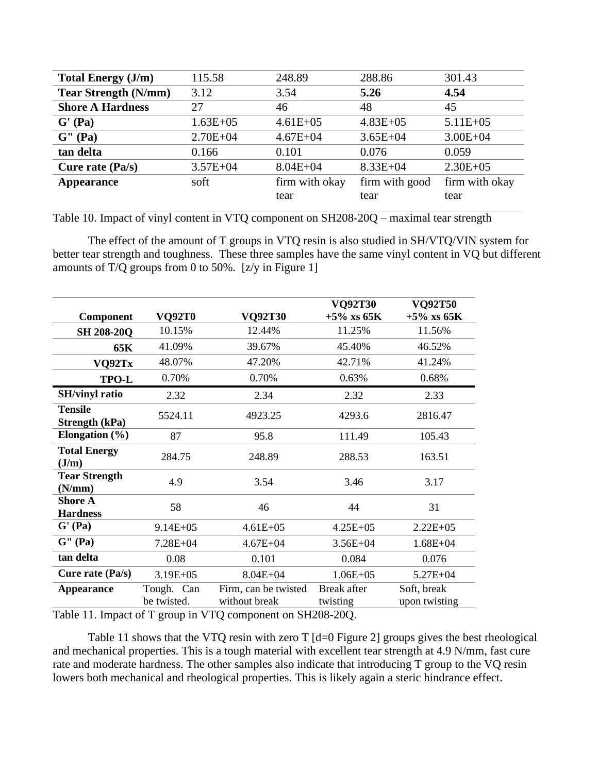| <b>Total Energy (J/m)</b>   | 115.58       | 248.89         | 288.86         | 301.43         |
|-----------------------------|--------------|----------------|----------------|----------------|
| <b>Tear Strength (N/mm)</b> | 3.12         | 3.54           | 5.26           | 4.54           |
| <b>Shore A Hardness</b>     | 27           | 46             | 48             | 45             |
| G' (Pa)                     | $1.63E + 05$ | $4.61E + 05$   | $4.83E + 05$   | $5.11E + 05$   |
| G'' (Pa)                    | $2.70E + 04$ | $4.67E + 04$   | $3.65E + 04$   | $3.00E + 04$   |
| tan delta                   | 0.166        | 0.101          | 0.076          | 0.059          |
| Cure rate $(Pa/s)$          | $3.57E + 04$ | $8.04E + 04$   | $8.33E + 04$   | $2.30E + 05$   |
| Appearance                  | soft         | firm with okay | firm with good | firm with okay |
|                             |              | tear           | tear           | tear           |

Table 10. Impact of vinyl content in VTQ component on SH208-20Q – maximal tear strength

The effect of the amount of T groups in VTQ resin is also studied in SH/VTQ/VIN system for better tear strength and toughness. These three samples have the same vinyl content in VQ but different amounts of T/Q groups from 0 to 50%. [z/y in Figure 1]

|                                   |                           |                                       | <b>VQ92T30</b>          | <b>VQ92T50</b>               |
|-----------------------------------|---------------------------|---------------------------------------|-------------------------|------------------------------|
| Component                         | <b>VQ92T0</b>             | <b>VQ92T30</b>                        | $+5\%$ xs 65K           | $+5\%$ xs 65K                |
| <b>SH 208-20Q</b>                 | 10.15%                    | 12.44%                                | 11.25%                  | 11.56%                       |
| 65K                               | 41.09%                    | 39.67%                                | 45.40%                  | 46.52%                       |
| VQ92Tx                            | 48.07%                    | 47.20%                                | 42.71%                  | 41.24%                       |
| TPO-L                             | 0.70%                     | 0.70%                                 | 0.63%                   | 0.68%                        |
| <b>SH/vinyl ratio</b>             | 2.32                      | 2.34                                  | 2.32                    | 2.33                         |
| <b>Tensile</b><br>Strength (kPa)  | 5524.11                   | 4923.25                               | 4293.6                  | 2816.47                      |
| Elongation $(\% )$                | 87                        | 95.8                                  | 111.49                  | 105.43                       |
| <b>Total Energy</b><br>J/m        | 284.75                    | 248.89                                | 288.53                  | 163.51                       |
| <b>Tear Strength</b><br>(N/mm)    | 4.9                       | 3.54                                  | 3.46                    | 3.17                         |
| <b>Shore A</b><br><b>Hardness</b> | 58                        | 46                                    | 44                      | 31                           |
| $\mathbf{G}'(\mathbf{Pa})$        | $9.14E + 05$              | $4.61E + 05$                          | $4.25E + 05$            | $2.22E + 05$                 |
| $\mathbf{G}$ " (Pa)               | 7.28E+04                  | $4.67E + 04$                          | $3.56E + 04$            | $1.68E + 04$                 |
| tan delta                         | 0.08                      | 0.101                                 | 0.084                   | 0.076                        |
| Cure rate (Pa/s)                  | $3.19E + 05$              | $8.04E + 04$                          | $1.06E + 05$            | $5.27E + 04$                 |
| <b>Appearance</b>                 | Tough. Can<br>be twisted. | Firm, can be twisted<br>without break | Break after<br>twisting | Soft, break<br>upon twisting |

Table 11. Impact of T group in VTQ component on SH208-20Q.

Table 11 shows that the VTQ resin with zero T [d=0 Figure 2] groups gives the best rheological and mechanical properties. This is a tough material with excellent tear strength at 4.9 N/mm, fast cure rate and moderate hardness. The other samples also indicate that introducing T group to the VQ resin lowers both mechanical and rheological properties. This is likely again a steric hindrance effect.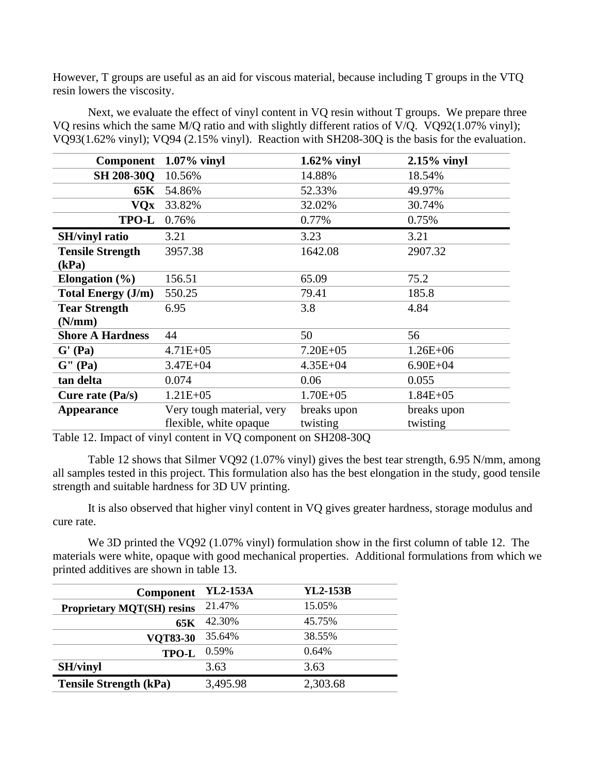However, T groups are useful as an aid for viscous material, because including T groups in the VTQ resin lowers the viscosity.

Next, we evaluate the effect of vinyl content in VQ resin without T groups. We prepare three VQ resins which the same M/Q ratio and with slightly different ratios of V/Q. VQ92(1.07% vinyl); VQ93(1.62% vinyl); VQ94 (2.15% vinyl). Reaction with SH208-30Q is the basis for the evaluation.

| <b>Component</b>                                    | $1.07\%$ vinyl            | $1.62\%$ vinyl | $2.15\%$ vinyl |
|-----------------------------------------------------|---------------------------|----------------|----------------|
| <b>SH 208-30Q</b>                                   | 10.56%                    | 14.88%         | 18.54%         |
| 65K                                                 | 54.86%                    | 52.33%         | 49.97%         |
| <b>VQx</b>                                          | 33.82%                    | 32.02%         | 30.74%         |
| <b>TPO-L</b>                                        | 0.76%                     | 0.77%          | 0.75%          |
| <b>SH/vinyl ratio</b>                               | 3.21                      | 3.23           | 3.21           |
| <b>Tensile Strength</b>                             | 3957.38                   | 1642.08        | 2907.32        |
| (kPa)                                               |                           |                |                |
| Elongation $(\% )$                                  | 156.51                    | 65.09          | 75.2           |
| <b>Total Energy (J/m)</b>                           | 550.25                    | 79.41          | 185.8          |
| <b>Tear Strength</b>                                | 6.95                      | 3.8            | 4.84           |
| (N/mm)                                              |                           |                |                |
| <b>Shore A Hardness</b>                             | 44                        | 50             | 56             |
| G' (Pa)                                             | $4.71E + 05$              | $7.20E + 05$   | $1.26E + 06$   |
| $\mathbf{G}^{\prime\prime}\left(\mathbf{Pa}\right)$ | $3.47E + 04$              | $4.35E + 04$   | $6.90E + 04$   |
| tan delta                                           | 0.074                     | 0.06           | 0.055          |
| Cure rate $(Pa/s)$                                  | $1.21E + 05$              | $1.70E + 05$   | $1.84E + 0.5$  |
| <b>Appearance</b>                                   | Very tough material, very | breaks upon    | breaks upon    |
|                                                     | flexible, white opaque    | twisting       | twisting       |

Table 12. Impact of vinyl content in VQ component on SH208-30Q

Table 12 shows that Silmer VQ92 (1.07% vinyl) gives the best tear strength, 6.95 N/mm, among all samples tested in this project. This formulation also has the best elongation in the study, good tensile strength and suitable hardness for 3D UV printing.

It is also observed that higher vinyl content in VQ gives greater hardness, storage modulus and cure rate.

We 3D printed the VQ92 (1.07% vinyl) formulation show in the first column of table 12. The materials were white, opaque with good mechanical properties. Additional formulations from which we printed additives are shown in table 13.

| <b>Component</b>                  | <b>YL2-153A</b> | <b>YL2-153B</b> |
|-----------------------------------|-----------------|-----------------|
| <b>Proprietary MQT(SH) resins</b> | 21.47%          | 15.05%          |
| 65K                               | 42.30%          | 45.75%          |
| <b>VQT83-30</b>                   | 35.64%          | 38.55%          |
| TPO-L                             | 0.59%           | 0.64%           |
| <b>SH/vinyl</b>                   | 3.63            | 3.63            |
| <b>Tensile Strength (kPa)</b>     | 3,495.98        | 2,303.68        |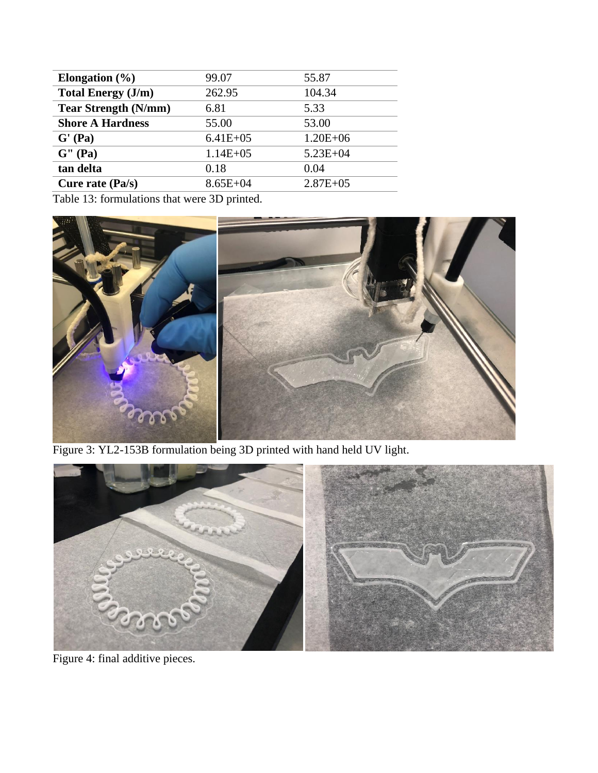| Elongation $(\% )$          | 99.07        | 55.87        |
|-----------------------------|--------------|--------------|
| <b>Total Energy (J/m)</b>   | 262.95       | 104.34       |
| <b>Tear Strength (N/mm)</b> | 6.81         | 5.33         |
| <b>Shore A Hardness</b>     | 55.00        | 53.00        |
| G' (Pa)                     | $6.41E + 05$ | $1.20E + 06$ |
| G'' (Pa)                    | $1.14E + 05$ | $5.23E + 04$ |
| tan delta                   | 0.18         | 0.04         |
| Cure rate $(Pa/s)$          | $8.65E + 04$ | $2.87E + 05$ |

Table 13: formulations that were 3D printed.



Figure 3: YL2-153B formulation being 3D printed with hand held UV light.



Figure 4: final additive pieces.